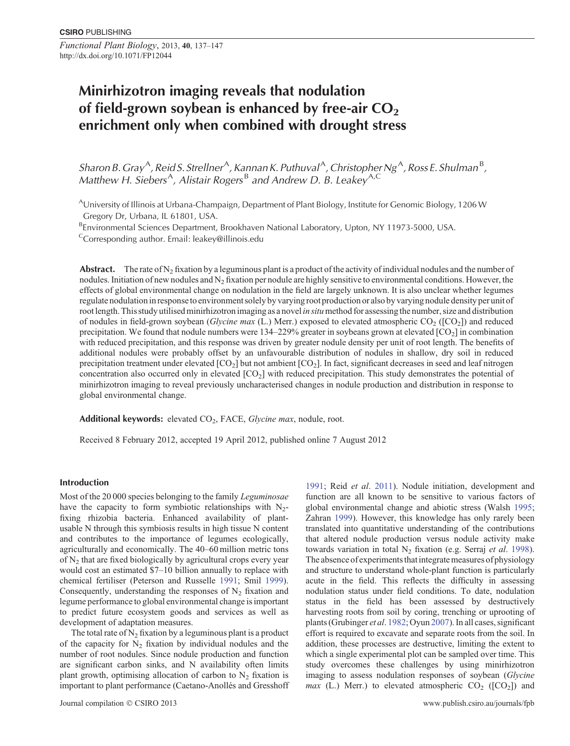*Functional Plant Biology*, 2013, **40**, 137–147 http://dx.doi.org/10.1071/FP12044

# **Minirhizotron imaging reveals that nodulation** of field-grown soybean is enhanced by free-air CO<sub>2</sub> **enrichment only when combined with drought stress**

Sharon B. Gray<sup>A</sup>, Reid S. Strellner<sup>A</sup>, Kannan K. Puthuval<sup>A</sup>, Christopher Ng<sup>A</sup>, Ross E. Shulman<sup>B</sup>, *Matthew H. Siebers<sup>A</sup>, Alistair Rogers*<sup>B</sup> and Andrew D. B. Leakey<sup>A,C</sup>

AUniversity of Illinois at Urbana-Champaign, Department of Plant Biology, Institute for Genomic Biology, 1206 W Gregory Dr, Urbana, IL 61801, USA.

<sup>B</sup>Environmental Sciences Department, Brookhaven National Laboratory, Upton, NY 11973-5000, USA.  $\text{C}$ Corresponding author. Email: leakey@illinois.edu

**Abstract.** The rate of N<sub>2</sub> fixation by a leguminous plant is a product of the activity of individual nodules and the number of nodules. Initiation of new nodules and  $N_2$  fixation per nodule are highly sensitive to environmental conditions. However, the effects of global environmental change on nodulation in the field are largely unknown. It is also unclear whether legumes regulate nodulation in responseto environment solely by varying root production or also by varying nodule density per unit of root length. This study utilised minirhizotron imaging as a novel *in situ*method for assessing the number, size and distribution of nodules in field-grown soybean (*Glycine max* (L.) Merr.) exposed to elevated atmospheric CO<sub>2</sub> ([CO<sub>2</sub>]) and reduced precipitation. We found that nodule numbers were  $134-229%$  greater in soybeans grown at elevated  $[CO<sub>2</sub>]$  in combination with reduced precipitation, and this response was driven by greater nodule density per unit of root length. The benefits of additional nodules were probably offset by an unfavourable distribution of nodules in shallow, dry soil in reduced precipitation treatment under elevated  $[CO_2]$  but not ambient  $[CO_2]$ . In fact, significant decreases in seed and leaf nitrogen concentration also occurred only in elevated  $[CO<sub>2</sub>]$  with reduced precipitation. This study demonstrates the potential of minirhizotron imaging to reveal previously uncharacterised changes in nodule production and distribution in response to global environmental change.

Additional keywords: elevated CO<sub>2</sub>, FACE, *Glycine max*, nodule, root.

Received 8 February 2012, accepted 19 April 2012, published online 7 August 2012

# **Introduction**

Most of the 20 000 species belonging to the family *Leguminosae* have the capacity to form symbiotic relationships with  $N_2$ fixing rhizobia bacteria. Enhanced availability of plantusable N through this symbiosis results in high tissue N content and contributes to the importance of legumes ecologically, agriculturally and economically. The 40–60 million metric tons of  $N_2$  that are fixed biologically by agricultural crops every year would cost an estimated \$7–10 billion annually to replace with chemical fertiliser (Peterson and Russelle [1991](#page-9-0); Smil [1999](#page-10-0)). Consequently, understanding the responses of  $N_2$  fixation and legume performance to global environmental change is important to predict future ecosystem goods and services as well as development of adaptation measures.

The total rate of  $N_2$  fixation by a leguminous plant is a product of the capacity for  $N_2$  fixation by individual nodules and the number of root nodules. Since nodule production and function are significant carbon sinks, and N availability often limits plant growth, optimising allocation of carbon to  $N_2$  fixation is important to plant performance (Caetano-Anollés and Gresshoff function are all known to be sensitive to various factors of global environmental change and abiotic stress (Walsh [1995;](#page-10-0) Zahran [1999](#page-10-0)). However, this knowledge has only rarely been translated into quantitative understanding of the contributions that altered nodule production versus nodule activity make towards variation in total N<sub>2</sub> fixation (e.g. Serraj *et al.* [1998](#page-10-0)). The absence of experiments that integrate measures of physiology and structure to understand whole-plant function is particularly acute in the field. This reflects the difficulty in assessing nodulation status under field conditions. To date, nodulation status in the field has been assessed by destructively harvesting roots from soil by coring, trenching or uprooting of plants (Grubinger *et al*. [1982](#page-9-0); Oyun [2007](#page-9-0)). In all cases, significant effort is required to excavate and separate roots from the soil. In addition, these processes are destructive, limiting the extent to which a single experimental plot can be sampled over time. This study overcomes these challenges by using minirhizotron imaging to assess nodulation responses of soybean (*Glycine max* (L.) Merr.) to elevated atmospheric  $CO_2$  ( $[CO_2]$ ) and

[1991](#page-9-0); Reid *et al*. [2011\)](#page-9-0). Nodule initiation, development and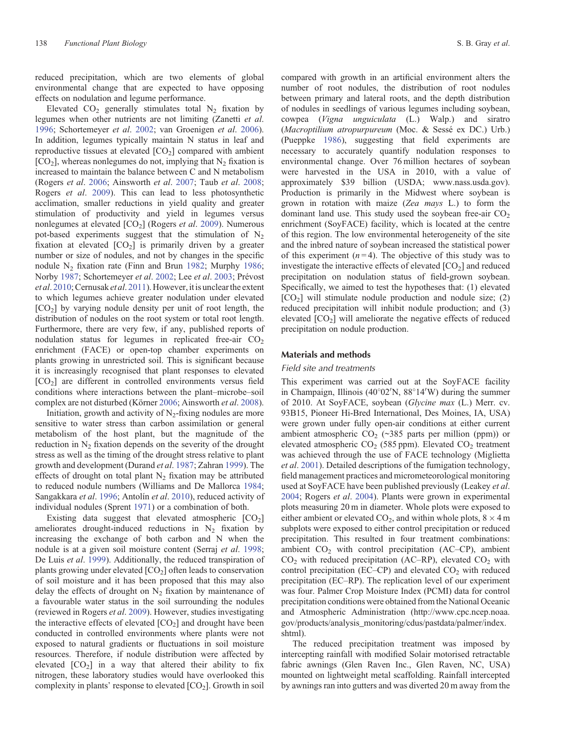reduced precipitation, which are two elements of global environmental change that are expected to have opposing effects on nodulation and legume performance.

Elevated  $CO<sub>2</sub>$  generally stimulates total N<sub>2</sub> fixation by legumes when other nutrients are not limiting (Zanetti *et al*. [1996;](#page-10-0) Schortemeyer *et al*. [2002;](#page-10-0) van Groenigen *et al*. [2006](#page-10-0)). In addition, legumes typically maintain N status in leaf and reproductive tissues at elevated  $[CO<sub>2</sub>]$  compared with ambient  $[CO<sub>2</sub>]$ , whereas nonlegumes do not, implying that N<sub>2</sub> fixation is increased to maintain the balance between C and N metabolism (Rogers *et al*. [2006;](#page-9-0) Ainsworth *et al*. [2007;](#page-8-0) Taub *et al*. [2008](#page-10-0); Rogers *et al*. [2009](#page-9-0)). This can lead to less photosynthetic acclimation, smaller reductions in yield quality and greater stimulation of productivity and yield in legumes versus nonlegumes at elevated [CO<sub>2</sub>] (Rogers *et al.* [2009](#page-9-0)). Numerous pot-based experiments suggest that the stimulation of  $N_2$ fixation at elevated  $[CO<sub>2</sub>]$  is primarily driven by a greater number or size of nodules, and not by changes in the specific nodule  $N_2$  fixation rate (Finn and Brun [1982;](#page-9-0) Murphy [1986](#page-9-0); Norby [1987](#page-9-0); Schortemeyer *et al*. [2002](#page-10-0); Lee *et al*. [2003;](#page-9-0) Prévost *et al*. [2010;](#page-9-0) Cernusak *et al*. [2011\)](#page-9-0). However, it is unclear the extent to which legumes achieve greater nodulation under elevated  $[CO<sub>2</sub>]$  by varying nodule density per unit of root length, the distribution of nodules on the root system or total root length. Furthermore, there are very few, if any, published reports of nodulation status for legumes in replicated free-air  $CO<sub>2</sub>$ enrichment (FACE) or open-top chamber experiments on plants growing in unrestricted soil. This is significant because it is increasingly recognised that plant responses to elevated [CO2] are different in controlled environments versus field conditions where interactions between the plant–microbe–soil complex are not disturbed (Körner [2006](#page-9-0); Ainsworth *et al*. [2008](#page-8-0)).

Initiation, growth and activity of  $N_2$ -fixing nodules are more sensitive to water stress than carbon assimilation or general metabolism of the host plant, but the magnitude of the reduction in  $N<sub>2</sub>$  fixation depends on the severity of the drought stress as well as the timing of the drought stress relative to plant growth and development (Durand *et al*. [1987;](#page-9-0) Zahran [1999](#page-10-0)). The effects of drought on total plant  $N_2$  fixation may be attributed to reduced nodule numbers (Williams and De Mallorca [1984](#page-10-0); Sangakkara *et al*. [1996;](#page-9-0) Antolín *et al*. [2010](#page-8-0)), reduced activity of individual nodules (Sprent [1971](#page-10-0)) or a combination of both.

Existing data suggest that elevated atmospheric  $[CO<sub>2</sub>]$ ameliorates drought-induced reductions in  $N_2$  fixation by increasing the exchange of both carbon and N when the nodule is at a given soil moisture content (Serraj *et al*. [1998](#page-10-0); De Luis *et al*. [1999\)](#page-9-0). Additionally, the reduced transpiration of plants growing under elevated  $[CO<sub>2</sub>]$  often leads to conservation of soil moisture and it has been proposed that this may also delay the effects of drought on  $N_2$  fixation by maintenance of a favourable water status in the soil surrounding the nodules (reviewed in Rogers *et al*. [2009](#page-9-0)). However, studies investigating the interactive effects of elevated  $[CO<sub>2</sub>]$  and drought have been conducted in controlled environments where plants were not exposed to natural gradients or fluctuations in soil moisture resources. Therefore, if nodule distribution were affected by elevated  $[CO<sub>2</sub>]$  in a way that altered their ability to fix nitrogen, these laboratory studies would have overlooked this complexity in plants' response to elevated  $[CO<sub>2</sub>]$ . Growth in soil

compared with growth in an artificial environment alters the number of root nodules, the distribution of root nodules between primary and lateral roots, and the depth distribution of nodules in seedlings of various legumes including soybean, cowpea (*Vigna unguiculata* (L.) Walp.) and siratro (*Macroptilium atropurpureum* (Moc. & Sessé ex DC.) Urb.) (Pueppke [1986\)](#page-9-0), suggesting that field experiments are necessary to accurately quantify nodulation responses to environmental change. Over 76 million hectares of soybean were harvested in the USA in 2010, with a value of approximately \$39 billion (USDA; [www.nass.usda.gov](http://www.nass.usda.gov)). Production is primarily in the Midwest where soybean is grown in rotation with maize (*Zea mays* L.) to form the dominant land use. This study used the soybean free-air  $CO<sub>2</sub>$ enrichment (SoyFACE) facility, which is located at the centre of this region. The low environmental heterogeneity of the site and the inbred nature of soybean increased the statistical power of this experiment  $(n=4)$ . The objective of this study was to investigate the interactive effects of elevated  $[CO<sub>2</sub>]$  and reduced precipitation on nodulation status of field-grown soybean. Specifically, we aimed to test the hypotheses that: (1) elevated  $[CO<sub>2</sub>]$  will stimulate nodule production and nodule size; (2) reduced precipitation will inhibit nodule production; and (3) elevated  $[CO<sub>2</sub>]$  will ameliorate the negative effects of reduced precipitation on nodule production.

# **Materials and methods**

# *Field site and treatments*

This experiment was carried out at the SoyFACE facility in Champaign, Illinois (40°02′N, 88°14′W) during the summer of 2010. At SoyFACE, soybean (*Glycine max* (L.) Merr. cv. 93B15, Pioneer Hi-Bred International, Des Moines, IA, USA) were grown under fully open-air conditions at either current ambient atmospheric  $CO<sub>2</sub>$  (~385 parts per million (ppm)) or elevated atmospheric  $CO<sub>2</sub>$  (585 ppm). Elevated  $CO<sub>2</sub>$  treatment was achieved through the use of FACE technology (Miglietta *et al*. [2001](#page-9-0)). Detailed descriptions of the fumigation technology, field management practices and micrometeorological monitoring used at SoyFACE have been published previously (Leakey *et al*. [2004;](#page-9-0) Rogers *et al*. [2004](#page-9-0)). Plants were grown in experimental plots measuring 20 m in diameter. Whole plots were exposed to either ambient or elevated CO<sub>2</sub>, and within whole plots,  $8 \times 4$  m subplots were exposed to either control precipitation or reduced precipitation. This resulted in four treatment combinations: ambient  $CO<sub>2</sub>$  with control precipitation (AC–CP), ambient  $CO<sub>2</sub>$  with reduced precipitation (AC–RP), elevated  $CO<sub>2</sub>$  with control precipitation (EC–CP) and elevated  $CO<sub>2</sub>$  with reduced precipitation (EC–RP). The replication level of our experiment was four. Palmer Crop Moisture Index (PCMI) data for control precipitation conditions were obtained from the National Oceanic and Atmospheric Administration [\(http://www.cpc.ncep.noaa.](http://www.cpc.ncep.noaa.gov/products/analysis_monitoring/cdus/pastdata/palmer/index.shtml) [gov/products/analysis\\_monitoring/cdus/pastdata/palmer/index.](http://www.cpc.ncep.noaa.gov/products/analysis_monitoring/cdus/pastdata/palmer/index.shtml) [shtml\)](http://www.cpc.ncep.noaa.gov/products/analysis_monitoring/cdus/pastdata/palmer/index.shtml).

The reduced precipitation treatment was imposed by intercepting rainfall with modified Solair motorised retractable fabric awnings (Glen Raven Inc., Glen Raven, NC, USA) mounted on lightweight metal scaffolding. Rainfall intercepted by awnings ran into gutters and was diverted 20 m away from the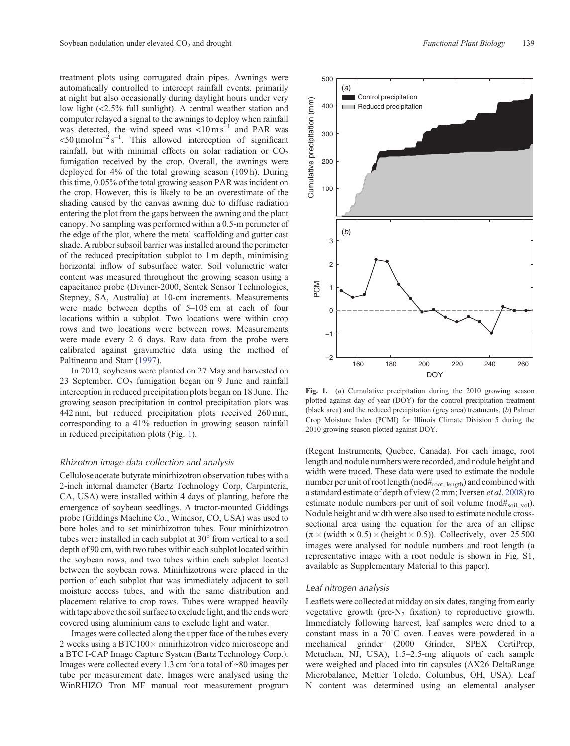<span id="page-2-0"></span>treatment plots using corrugated drain pipes. Awnings were automatically controlled to intercept rainfall events, primarily at night but also occasionally during daylight hours under very low light (<2.5% full sunlight). A central weather station and computer relayed a signal to the awnings to deploy when rainfall was detected, the wind speed was  $\langle 10 \text{ m s}^{-1} \rangle$  and PAR was  $\leq 50 \,\mu\text{mol m}^{-2}\text{ s}^{-1}$ . This allowed interception of significant rainfall, but with minimal effects on solar radiation or  $CO<sub>2</sub>$ fumigation received by the crop. Overall, the awnings were deployed for 4% of the total growing season (109 h). During this time, 0.05% of the total growing season PAR was incident on the crop. However, this is likely to be an overestimate of the shading caused by the canvas awning due to diffuse radiation entering the plot from the gaps between the awning and the plant canopy. No sampling was performed within a 0.5-m perimeter of the edge of the plot, where the metal scaffolding and gutter cast shade. A rubber subsoil barrier was installed around the perimeter of the reduced precipitation subplot to 1 m depth, minimising horizontal inflow of subsurface water. Soil volumetric water content was measured throughout the growing season using a capacitance probe (Diviner-2000, Sentek Sensor Technologies, Stepney, SA, Australia) at 10-cm increments. Measurements were made between depths of 5–105 cm at each of four locations within a subplot. Two locations were within crop rows and two locations were between rows. Measurements were made every 2–6 days. Raw data from the probe were calibrated against gravimetric data using the method of Paltineanu and Starr ([1997](#page-9-0)).

In 2010, soybeans were planted on 27 May and harvested on 23 September.  $CO<sub>2</sub>$  fumigation began on 9 June and rainfall interception in reduced precipitation plots began on 18 June. The growing season precipitation in control precipitation plots was 442 mm, but reduced precipitation plots received 260 mm, corresponding to a 41% reduction in growing season rainfall in reduced precipitation plots (Fig. 1).

## *Rhizotron image data collection and analysis*

Cellulose acetate butyrate minirhizotron observation tubes with a 2-inch internal diameter (Bartz Technology Corp, Carpinteria, CA, USA) were installed within 4 days of planting, before the emergence of soybean seedlings. A tractor-mounted Giddings probe (Giddings Machine Co., Windsor, CO, USA) was used to bore holes and to set minirhizotron tubes. Four minirhizotron tubes were installed in each subplot at  $30^\circ$  from vertical to a soil depth of 90 cm, with two tubes within each subplot located within the soybean rows, and two tubes within each subplot located between the soybean rows. Minirhizotrons were placed in the portion of each subplot that was immediately adjacent to soil moisture access tubes, and with the same distribution and placement relative to crop rows. Tubes were wrapped heavily with tape above the soil surface to exclude light, and the ends were covered using aluminium cans to exclude light and water.

Images were collected along the upper face of the tubes every 2 weeks using a BTC100 $\times$  minirhizotron video microscope and a BTC I-CAP Image Capture System (Bartz Technology Corp.). Images were collected every 1.3 cm for a total of ~80 images per tube per measurement date. Images were analysed using the WinRHIZO Tron MF manual root measurement program



**Fig. 1.** (*a*) Cumulative precipitation during the 2010 growing season plotted against day of year (DOY) for the control precipitation treatment (black area) and the reduced precipitation (grey area) treatments. (*b*) Palmer Crop Moisture Index (PCMI) for Illinois Climate Division 5 during the 2010 growing season plotted against DOY.

(Regent Instruments, Quebec, Canada). For each image, root length and nodule numbers were recorded, and nodule height and width were traced. These data were used to estimate the nodule number per unit of root length (nod#root\_length) and combined with a standard estimate of depth of view (2 mm; Iversen *et al*. [2008\)](#page-9-0) to estimate nodule numbers per unit of soil volume (nod $#_{\text{soil-vol}}$ ). Nodule height and width were also used to estimate nodule crosssectional area using the equation for the area of an ellipse  $(\pi \times (width \times 0.5) \times (height \times 0.5))$ . Collectively, over 25 500 images were analysed for nodule numbers and root length (a representative image with a root nodule is shown in Fig. S1, available as Supplementary Material to this paper).

### *Leaf nitrogen analysis*

Leaflets were collected at midday on six dates, ranging from early vegetative growth (pre- $N_2$  fixation) to reproductive growth. Immediately following harvest, leaf samples were dried to a constant mass in a 70 C oven. Leaves were powdered in a mechanical grinder (2000 Grinder, SPEX CertiPrep, Metuchen, NJ, USA), 1.5–2.5-mg aliquots of each sample were weighed and placed into tin capsules (AX26 DeltaRange Microbalance, Mettler Toledo, Columbus, OH, USA). Leaf N content was determined using an elemental analyser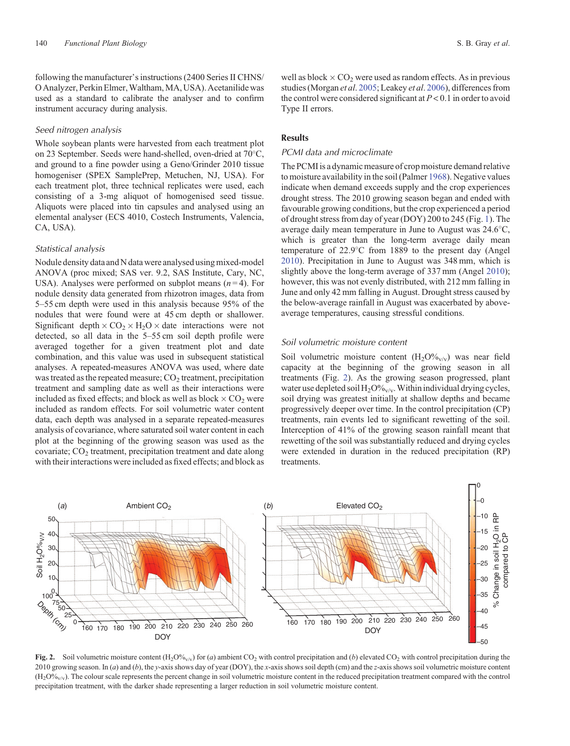<span id="page-3-0"></span>following the manufacturer's instructions (2400 Series II CHNS/ O Analyzer, Perkin Elmer, Waltham, MA, USA). Acetanilide was used as a standard to calibrate the analyser and to confirm instrument accuracy during analysis.

#### *Seed nitrogen analysis*

Whole soybean plants were harvested from each treatment plot on 23 September. Seeds were hand-shelled, oven-dried at 70 C, and ground to a fine powder using a Geno/Grinder 2010 tissue homogeniser (SPEX SamplePrep, Metuchen, NJ, USA). For each treatment plot, three technical replicates were used, each consisting of a 3-mg aliquot of homogenised seed tissue. Aliquots were placed into tin capsules and analysed using an elemental analyser (ECS 4010, Costech Instruments, Valencia, CA, USA).

## *Statistical analysis*

Nodule density data and N data were analysed using mixed-model ANOVA (proc mixed; SAS ver. 9.2, SAS Institute, Cary, NC, USA). Analyses were performed on subplot means  $(n=4)$ . For nodule density data generated from rhizotron images, data from 5–55 cm depth were used in this analysis because 95% of the nodules that were found were at 45 cm depth or shallower. Significant depth  $\times$  CO<sub>2</sub>  $\times$  H<sub>2</sub>O  $\times$  date interactions were not detected, so all data in the 5–55 cm soil depth profile were averaged together for a given treatment plot and date combination, and this value was used in subsequent statistical analyses. A repeated-measures ANOVA was used, where date was treated as the repeated measure;  $CO<sub>2</sub>$  treatment, precipitation treatment and sampling date as well as their interactions were included as fixed effects; and block as well as block  $\times$  CO<sub>2</sub> were included as random effects. For soil volumetric water content data, each depth was analysed in a separate repeated-measures analysis of covariance, where saturated soil water content in each plot at the beginning of the growing season was used as the covariate;  $CO<sub>2</sub>$  treatment, precipitation treatment and date along with their interactions were included as fixed effects; and block as well as block  $\times$  CO<sub>2</sub> were used as random effects. As in previous studies (Morgan *et al*. [2005;](#page-9-0) Leakey *et al*. [2006](#page-9-0)), differences from the control were considered significant at  $P < 0.1$  in order to avoid Type II errors.

# **Results**

## *PCMI data and microclimate*

The PCMI is a dynamic measure of crop moisture demand relative to moisture availability in the soil (Palmer [1968\)](#page-9-0). Negative values indicate when demand exceeds supply and the crop experiences drought stress. The 2010 growing season began and ended with favourable growing conditions, but the crop experienced a period of drought stress from day of year (DOY) 200 to 245 (Fig. [1](#page-2-0)). The average daily mean temperature in June to August was 24.6 C, which is greater than the long-term average daily mean temperature of 22.9 C from 1889 to the present day (Angel [2010\)](#page-8-0). Precipitation in June to August was 348 mm, which is slightly above the long-term average of 337 mm (Angel [2010](#page-8-0)); however, this was not evenly distributed, with 212 mm falling in June and only 42 mm falling in August. Drought stress caused by the below-average rainfall in August was exacerbated by aboveaverage temperatures, causing stressful conditions.

#### *Soil volumetric moisture content*

Soil volumetric moisture content  $(H_2O_{\sqrt{v}})$  was near field capacity at the beginning of the growing season in all treatments (Fig. 2). As the growing season progressed, plant water use depleted soil  $H_2O\%_{v/v}$ . Within individual drying cycles, soil drying was greatest initially at shallow depths and became progressively deeper over time. In the control precipitation (CP) treatments, rain events led to significant rewetting of the soil. Interception of 41% of the growing season rainfall meant that rewetting of the soil was substantially reduced and drying cycles were extended in duration in the reduced precipitation (RP) treatments.



Fig. 2. Soil volumetric moisture content (H<sub>2</sub>O%<sub>v/v</sub>) for (*a*) ambient CO<sub>2</sub> with control precipitation and (*b*) elevated CO<sub>2</sub> with control precipitation during the 2010 growing season. In (*a*) and (*b*), the *y*-axis shows day of year (DOY), the *x*-axis shows soil depth (cm) and the *z*-axis shows soil volumetric moisture content  $(H_2O\%_{v/v})$ . The colour scale represents the percent change in soil volumetric moisture content in the reduced precipitation treatment compared with the control precipitation treatment, with the darker shade representing a larger reduction in soil volumetric moisture content.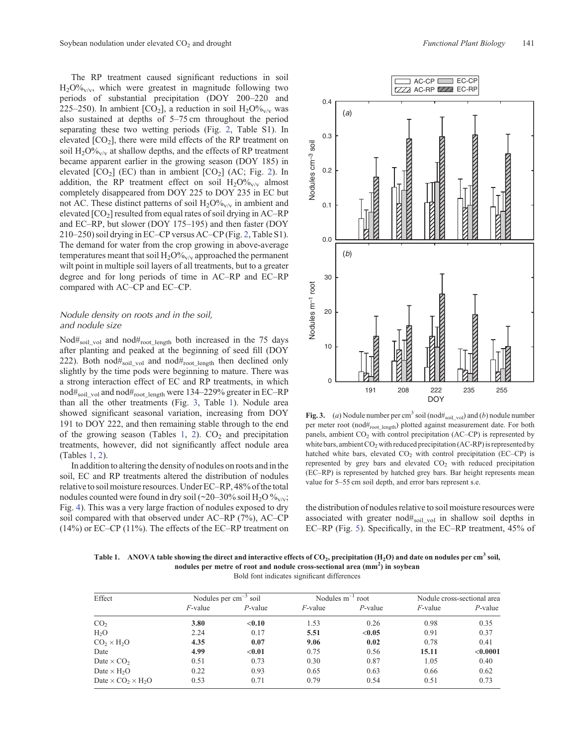<span id="page-4-0"></span>The RP treatment caused significant reductions in soil  $H_2O\%_{V/V}$ , which were greatest in magnitude following two periods of substantial precipitation (DOY 200–220 and 225–250). In ambient  $[CO_2]$ , a reduction in soil  $H_2O\%_{V/V}$  was also sustained at depths of 5–75 cm throughout the period separating these two wetting periods (Fig. [2,](#page-3-0) Table S1). In elevated  $[CO<sub>2</sub>]$ , there were mild effects of the RP treatment on soil  $H_2O_{\sqrt{v}}$  at shallow depths, and the effects of RP treatment became apparent earlier in the growing season (DOY 185) in elevated  $[CO_2]$  $[CO_2]$  $[CO_2]$  (EC) than in ambient  $[CO_2]$  (AC; Fig. 2). In addition, the RP treatment effect on soil  $H_2O\%_{V/V}$  almost completely disappeared from DOY 225 to DOY 235 in EC but not AC. These distinct patterns of soil  $H_2O_{\sqrt{v}}$  in ambient and elevated  $[CO<sub>2</sub>]$  resulted from equal rates of soil drying in AC–RP and EC–RP, but slower (DOY 175–195) and then faster (DOY 210–250) soil drying in EC–CP versus AC–CP (Fig. [2,](#page-3-0) Table S1). The demand for water from the crop growing in above-average temperatures meant that soil  $H_2O\%_{V/V}$  approached the permanent wilt point in multiple soil layers of all treatments, but to a greater degree and for long periods of time in AC–RP and EC–RP compared with AC–CP and EC–CP.

# *Nodule density on roots and in the soil, and nodule size*

Nod#soil vol and nod# $_{\text{root length}}$  both increased in the 75 days after planting and peaked at the beginning of seed fill (DOY 222). Both nod#soil vol and nod#root length then declined only slightly by the time pods were beginning to mature. There was a strong interaction effect of EC and RP treatments, in which nod#soil\_vol and nod#root\_length were 134–229% greater in EC–RP than all the other treatments (Fig. 3, Table 1). Nodule area showed significant seasonal variation, increasing from DOY 191 to DOY 222, and then remaining stable through to the end of the growing season (Tables 1, [2\)](#page-5-0).  $CO<sub>2</sub>$  and precipitation treatments, however, did not significantly affect nodule area (Tables 1, [2](#page-5-0)).

In addition to altering the density of nodules on roots and in the soil, EC and RP treatments altered the distribution of nodules relative to soil moisture resources. Under EC–RP, 48% of the total nodules counted were found in dry soil (~20–30% soil H<sub>2</sub>O  $\%_{\rm v/v}$ ; Fig. [4](#page-5-0)). This was a very large fraction of nodules exposed to dry soil compared with that observed under AC–RP (7%), AC–CP (14%) or EC–CP (11%). The effects of the EC–RP treatment on



**Fig. 3.** (*a*) Nodule number per cm<sup>3</sup> soil (nod#<sub>soil\_vol</sub>) and (*b*) nodule number per meter root (nod#root\_length) plotted against measurement date. For both panels, ambient  $CO<sub>2</sub>$  with control precipitation (AC–CP) is represented by white bars, ambient  $CO<sub>2</sub>$  with reduced precipitation (AC-RP) is represented by hatched white bars, elevated  $CO<sub>2</sub>$  with control precipitation (EC–CP) is represented by grey bars and elevated  $CO<sub>2</sub>$  with reduced precipitation (EC–RP) is represented by hatched grey bars. Bar height represents mean value for 5–55 cm soil depth, and error bars represent s.e.

the distribution of nodules relative to soil moisture resources were associated with greater nod#soil vol in shallow soil depths in EC–RP (Fig. [5](#page-5-0)). Specifically, in the EC–RP treatment, 45% of

Table 1. ANOVA table showing the direct and interactive effects of CO<sub>2</sub>, precipitation (H<sub>2</sub>O) and date on nodules per cm<sup>3</sup> soil, **nodules per metre of root and nodule cross-sectional area (mm2 ) in soybean** Bold font indicates significant differences

| Effect                                                  | Nodules per $cm^{-3}$ soil |            | Nodules $m^{-1}$ root |         | Nodule cross-sectional area |          |
|---------------------------------------------------------|----------------------------|------------|-----------------------|---------|-----------------------------|----------|
|                                                         | $F$ -value                 | $P$ -value | <i>F</i> -value       | P-value | $F$ -value                  | P-value  |
| CO <sub>2</sub>                                         | 3.80                       | < 0.10     | 1.53                  | 0.26    | 0.98                        | 0.35     |
| H <sub>2</sub> O                                        | 2.24                       | 0.17       | 5.51                  | < 0.05  | 0.91                        | 0.37     |
| $CO_2 \times H_2O$                                      | 4.35                       | 0.07       | 9.06                  | 0.02    | 0.78                        | 0.41     |
| Date                                                    | 4.99                       | < 0.01     | 0.75                  | 0.56    | 15.11                       | < 0.0001 |
| Date $\times$ CO <sub>2</sub>                           | 0.51                       | 0.73       | 0.30                  | 0.87    | 1.05                        | 0.40     |
| Date $\times$ H <sub>2</sub> O                          | 0.22                       | 0.93       | 0.65                  | 0.63    | 0.66                        | 0.62     |
| Date $\times$ CO <sub>2</sub> $\times$ H <sub>2</sub> O | 0.53                       | 0.71       | 0.79                  | 0.54    | 0.51                        | 0.73     |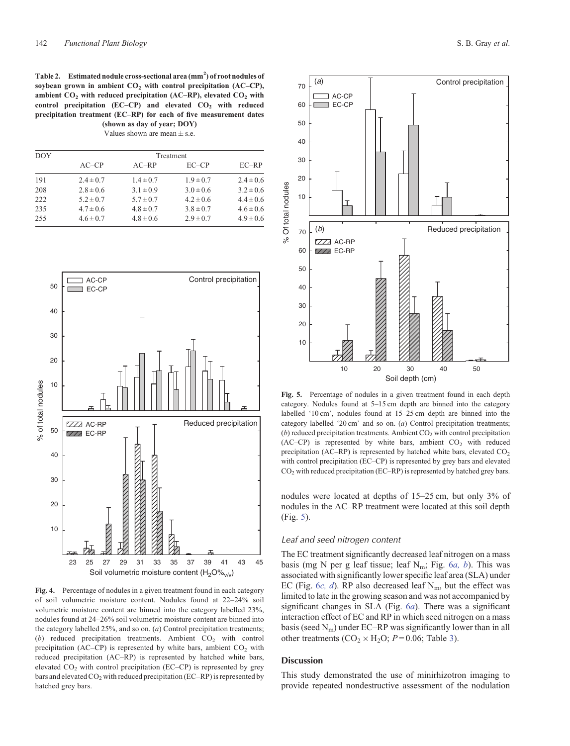<span id="page-5-0"></span>Table 2. Estimated nodule cross-sectional area (mm<sup>2</sup>) of root nodules of **soybean grown in ambient CO<sub>2</sub> with control precipitation (AC–CP), ambient CO2 with reduced precipitation (AC–RP), elevated CO2 with** control precipitation (EC-CP) and elevated CO<sub>2</sub> with reduced **precipitation treatment (EC–RP) for each of five measurement dates (shown as day of year; DOY)**

Values shown are mean  $\pm$  s.e.

| <b>DOY</b> | Treatment     |               |               |               |  |  |
|------------|---------------|---------------|---------------|---------------|--|--|
|            | $AC$ - $CP$   | $AC-RP$       | $EC$ – $CP$   | $EC$ -RP      |  |  |
| 191        | $2.4 \pm 0.7$ | $1.4 \pm 0.7$ | $1.9 \pm 0.7$ | $2.4 \pm 0.6$ |  |  |
| 208        | $2.8 \pm 0.6$ | $3.1 \pm 0.9$ | $3.0 \pm 0.6$ | $3.2 \pm 0.6$ |  |  |
| 222        | $5.2 \pm 0.7$ | $5.7 \pm 0.7$ | $4.2 \pm 0.6$ | $4.4 \pm 0.6$ |  |  |
| 235        | $4.7 \pm 0.6$ | $4.8 \pm 0.7$ | $3.8 \pm 0.7$ | $4.6 \pm 0.6$ |  |  |
| 255        | $4.6 \pm 0.7$ | $4.8 \pm 0.6$ | $2.9 \pm 0.7$ | $4.9 \pm 0.6$ |  |  |



**Fig. 4.** Percentage of nodules in a given treatment found in each category of soil volumetric moisture content. Nodules found at 22–24% soil volumetric moisture content are binned into the category labelled 23%, nodules found at 24–26% soil volumetric moisture content are binned into the category labelled 25%, and so on. (*a*) Control precipitation treatments; (*b*) reduced precipitation treatments. Ambient CO<sub>2</sub> with control precipitation (AC–CP) is represented by white bars, ambient  $CO<sub>2</sub>$  with reduced precipitation (AC–RP) is represented by hatched white bars, elevated  $CO<sub>2</sub>$  with control precipitation (EC–CP) is represented by grey bars and elevated  $CO<sub>2</sub>$  with reduced precipitation (EC–RP) is represented by hatched grey bars.



**Fig. 5.** Percentage of nodules in a given treatment found in each depth category. Nodules found at 5–15 cm depth are binned into the category labelled '10 cm', nodules found at 15–25 cm depth are binned into the category labelled '20 cm' and so on. (*a*) Control precipitation treatments;  $(b)$  reduced precipitation treatments. Ambient  $CO<sub>2</sub>$  with control precipitation  $(AC-CP)$  is represented by white bars, ambient  $CO<sub>2</sub>$  with reduced precipitation (AC–RP) is represented by hatched white bars, elevated  $CO<sub>2</sub>$ with control precipitation (EC–CP) is represented by grey bars and elevated CO2 with reduced precipitation (EC–RP) is represented by hatched grey bars.

nodules were located at depths of 15–25 cm, but only 3% of nodules in the AC–RP treatment were located at this soil depth (Fig. 5).

# *Leaf and seed nitrogen content*

The EC treatment significantly decreased leaf nitrogen on a mass basis (mg N per g leaf tissue; leaf Nm; Fig. 6*[a, b](#page-6-0)*). This was associated with significantly lower specific leaf area (SLA) under EC (Fig. 6*[c, d](#page-6-0)*). RP also decreased leaf  $N<sub>m</sub>$ , but the effect was limited to late in the growing season and was not accompanied by significant changes in SLA (Fig. [6](#page-6-0)*a*). There was a significant interaction effect of EC and RP in which seed nitrogen on a mass basis (seed  $N_m$ ) under EC–RP was significantly lower than in all other treatments ( $CO<sub>2</sub> \times H<sub>2</sub>O$ ; *P* = 0.06; Table [3](#page-6-0)).

### **Discussion**

This study demonstrated the use of minirhizotron imaging to provide repeated nondestructive assessment of the nodulation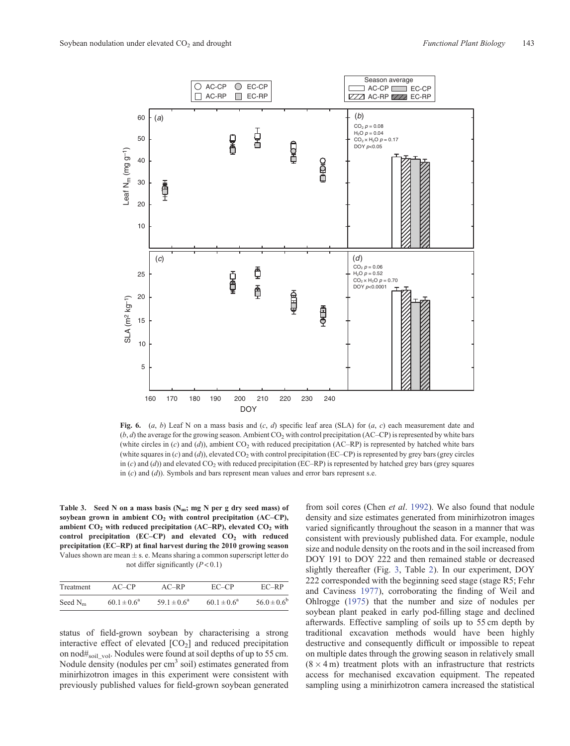<span id="page-6-0"></span>

**Fig. 6.**  $(a, b)$  Leaf N on a mass basis and  $(c, d)$  specific leaf area (SLA) for  $(a, c)$  each measurement date and  $(b, d)$  the average for the growing season. Ambient CO<sub>2</sub> with control precipitation (AC–CP) is represented by white bars (white circles in  $(c)$  and  $(d)$ ), ambient CO<sub>2</sub> with reduced precipitation (AC–RP) is represented by hatched white bars (white squares in  $(c)$  and  $(d)$ ), elevated  $CO<sub>2</sub>$  with control precipitation (EC–CP) is represented by grey bars (grey circles in (*c*) and (*d*)) and elevated CO<sub>2</sub> with reduced precipitation (EC–RP) is represented by hatched grey bars (grey squares in (*c*) and (*d*)). Symbols and bars represent mean values and error bars represent s.e.

Table 3. Seed N on a mass basis (N<sub>m</sub>; mg N per g dry seed mass) of soybean grown in ambient  $CO<sub>2</sub>$  with control precipitation (AC–CP), **ambient CO2 with reduced precipitation (AC–RP), elevated CO2 with control precipitation (EC–CP) and elevated CO2 with reduced precipitation (EC–RP) at final harvest during the 2010 growing season** Values shown are mean  $\pm$  s. e. Means sharing a common superscript letter do not differ significantly (*P* < 0.1)

| Treatment  | $AC$ -CP               | $AC-RP$                | $EC$ - $CP$            | $EC-RP$                |
|------------|------------------------|------------------------|------------------------|------------------------|
| Seed $N_m$ | $60.1 \pm 0.6^{\rm a}$ | $59.1 \pm 0.6^{\circ}$ | $60.1 \pm 0.6^{\circ}$ | $56.0 \pm 0.6^{\rm b}$ |

status of field-grown soybean by characterising a strong interactive effect of elevated  $[CO<sub>2</sub>]$  and reduced precipitation on nod# $_{\rm soil\ vol}$ . Nodules were found at soil depths of up to 55 cm. Nodule density (nodules per cm<sup>3</sup> soil) estimates generated from minirhizotron images in this experiment were consistent with previously published values for field-grown soybean generated

from soil cores (Chen *et al*. [1992\)](#page-9-0). We also found that nodule density and size estimates generated from minirhizotron images varied significantly throughout the season in a manner that was consistent with previously published data. For example, nodule size and nodule density on the roots and in the soil increased from DOY 191 to DOY 222 and then remained stable or decreased slightly thereafter (Fig. [3,](#page-4-0) Table [2\)](#page-5-0). In our experiment, DOY 222 corresponded with the beginning seed stage (stage R5; Fehr and Caviness [1977](#page-9-0)), corroborating the finding of Weil and Ohlrogge [\(1975](#page-10-0)) that the number and size of nodules per soybean plant peaked in early pod-filling stage and declined afterwards. Effective sampling of soils up to 55 cm depth by traditional excavation methods would have been highly destructive and consequently difficult or impossible to repeat on multiple dates through the growing season in relatively small  $(8 \times 4 \text{ m})$  treatment plots with an infrastructure that restricts access for mechanised excavation equipment. The repeated sampling using a minirhizotron camera increased the statistical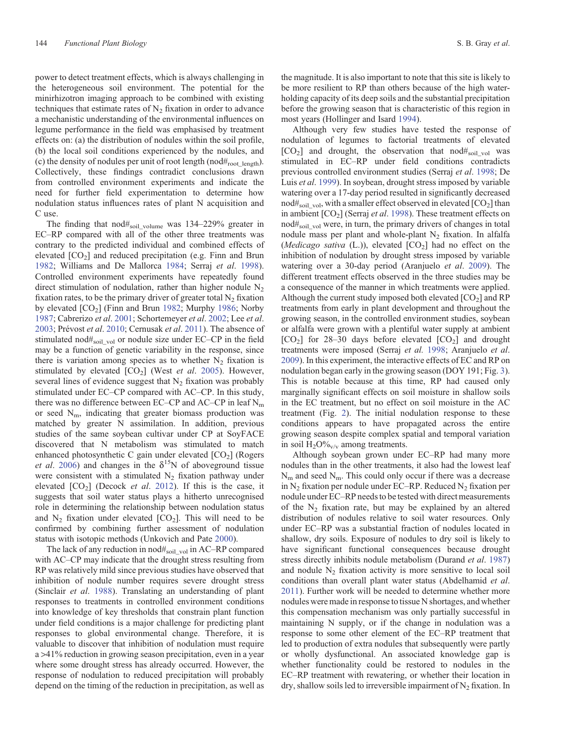power to detect treatment effects, which is always challenging in the heterogeneous soil environment. The potential for the minirhizotron imaging approach to be combined with existing techniques that estimate rates of  $N<sub>2</sub>$  fixation in order to advance a mechanistic understanding of the environmental influences on legume performance in the field was emphasised by treatment effects on: (a) the distribution of nodules within the soil profile, (b) the local soil conditions experienced by the nodules, and (c) the density of nodules per unit of root length (nod $#_{root\ length}$ ). Collectively, these findings contradict conclusions drawn from controlled environment experiments and indicate the need for further field experimentation to determine how nodulation status influences rates of plant N acquisition and C use.

The finding that nod#soil\_volume was 134-229% greater in EC–RP compared with all of the other three treatments was contrary to the predicted individual and combined effects of elevated  $[CO<sub>2</sub>]$  and reduced precipitation (e.g. Finn and Brun [1982;](#page-9-0) Williams and De Mallorca [1984](#page-10-0); Serraj *et al*. [1998](#page-10-0)). Controlled environment experiments have repeatedly found direct stimulation of nodulation, rather than higher nodule  $N<sub>2</sub>$ fixation rates, to be the primary driver of greater total  $N_2$  fixation by elevated  $[CO<sub>2</sub>]$  (Finn and Brun [1982;](#page-9-0) Murphy [1986](#page-9-0); Norby [1987;](#page-9-0) Cabrerizo *et al*. [2001;](#page-9-0) Schortemeyer *et al*. [2002;](#page-10-0) Lee *et al*. [2003;](#page-9-0) Prévost *et al*. [2010](#page-9-0); Cernusak *et al*. [2011](#page-9-0)). The absence of stimulated nod#soil\_vol or nodule size under EC–CP in the field may be a function of genetic variability in the response, since there is variation among species as to whether  $N_2$  fixation is stimulated by elevated [CO<sub>2</sub>] (West *et al.* [2005](#page-10-0)). However, several lines of evidence suggest that  $N_2$  fixation was probably stimulated under EC–CP compared with AC–CP. In this study, there was no difference between EC–CP and AC–CP in leaf  $N_m$ or seed  $N<sub>m</sub>$ , indicating that greater biomass production was matched by greater N assimilation. In addition, previous studies of the same soybean cultivar under CP at SoyFACE discovered that N metabolism was stimulated to match enhanced photosynthetic C gain under elevated  $[CO<sub>2</sub>]$  (Rogers *et al.* [2006](#page-9-0)) and changes in the  $\delta^{15}N$  of above ground tissue were consistent with a stimulated  $N<sub>2</sub>$  fixation pathway under elevated [CO2] (Decock *et al*. [2012](#page-9-0)). If this is the case, it suggests that soil water status plays a hitherto unrecognised role in determining the relationship between nodulation status and  $N_2$  fixation under elevated  $[CO_2]$ . This will need to be confirmed by combining further assessment of nodulation status with isotopic methods (Unkovich and Pate [2000](#page-10-0)).

The lack of any reduction in nod#soil\_vol in AC–RP compared with AC–CP may indicate that the drought stress resulting from RP was relatively mild since previous studies have observed that inhibition of nodule number requires severe drought stress (Sinclair *et al*. [1988](#page-10-0)). Translating an understanding of plant responses to treatments in controlled environment conditions into knowledge of key thresholds that constrain plant function under field conditions is a major challenge for predicting plant responses to global environmental change. Therefore, it is valuable to discover that inhibition of nodulation must require a >41% reduction in growing season precipitation, even in a year where some drought stress has already occurred. However, the response of nodulation to reduced precipitation will probably depend on the timing of the reduction in precipitation, as well as the magnitude. It is also important to note that this site is likely to be more resilient to RP than others because of the high waterholding capacity of its deep soils and the substantial precipitation before the growing season that is characteristic of this region in most years (Hollinger and Isard [1994](#page-9-0)).

Although very few studies have tested the response of nodulation of legumes to factorial treatments of elevated  $[CO_2]$  and drought, the observation that nod#soil vol was stimulated in EC–RP under field conditions contradicts previous controlled environment studies (Serraj *et al*. [1998;](#page-10-0) De Luis *et al*. [1999\)](#page-9-0). In soybean, drought stress imposed by variable watering over a 17-day period resulted in significantly decreased nod# $_{\rm soil\ vol}$ , with a smaller effect observed in elevated [CO<sub>2</sub>] than in ambient  $[CO<sub>2</sub>]$  (Serraj *et al.* [1998](#page-10-0)). These treatment effects on nod#soil\_vol were, in turn, the primary drivers of changes in total nodule mass per plant and whole-plant  $N_2$  fixation. In alfalfa (*Medicago sativa* (L.)), elevated  $[CO<sub>2</sub>]$  had no effect on the inhibition of nodulation by drought stress imposed by variable watering over a 30-day period (Aranjuelo *et al*. [2009](#page-8-0)). The different treatment effects observed in the three studies may be a consequence of the manner in which treatments were applied. Although the current study imposed both elevated  $[CO<sub>2</sub>]$  and RP treatments from early in plant development and throughout the growing season, in the controlled environment studies, soybean or alfalfa were grown with a plentiful water supply at ambient  $[CO<sub>2</sub>]$  for 28–30 days before elevated  $[CO<sub>2</sub>]$  and drought treatments were imposed (Serraj *et al.* [1998](#page-10-0); Aranjuelo *et al*. [2009\)](#page-8-0). In this experiment, the interactive effects of EC and RP on nodulation began early in the growing season (DOY 191; Fig. [3](#page-4-0)). This is notable because at this time, RP had caused only marginally significant effects on soil moisture in shallow soils in the EC treatment, but no effect on soil moisture in the AC treatment (Fig. [2\)](#page-3-0). The initial nodulation response to these conditions appears to have propagated across the entire growing season despite complex spatial and temporal variation in soil  $H_2O_{\sqrt{v}}$  among treatments.

Although soybean grown under EC–RP had many more nodules than in the other treatments, it also had the lowest leaf  $N_m$  and seed  $N_m$ . This could only occur if there was a decrease in  $N_2$  fixation per nodule under EC–RP. Reduced  $N_2$  fixation per nodule under EC–RP needs to be tested with direct measurements of the  $N_2$  fixation rate, but may be explained by an altered distribution of nodules relative to soil water resources. Only under EC–RP was a substantial fraction of nodules located in shallow, dry soils. Exposure of nodules to dry soil is likely to have significant functional consequences because drought stress directly inhibits nodule metabolism (Durand *et al*. [1987\)](#page-9-0) and nodule  $N_2$  fixation activity is more sensitive to local soil conditions than overall plant water status (Abdelhamid *et al*. [2011\)](#page-8-0). Further work will be needed to determine whether more nodules were made in response to tissue N shortages, and whether this compensation mechanism was only partially successful in maintaining N supply, or if the change in nodulation was a response to some other element of the EC–RP treatment that led to production of extra nodules that subsequently were partly or wholly dysfunctional. An associated knowledge gap is whether functionality could be restored to nodules in the EC–RP treatment with rewatering, or whether their location in dry, shallow soils led to irreversible impairment of  $N_2$  fixation. In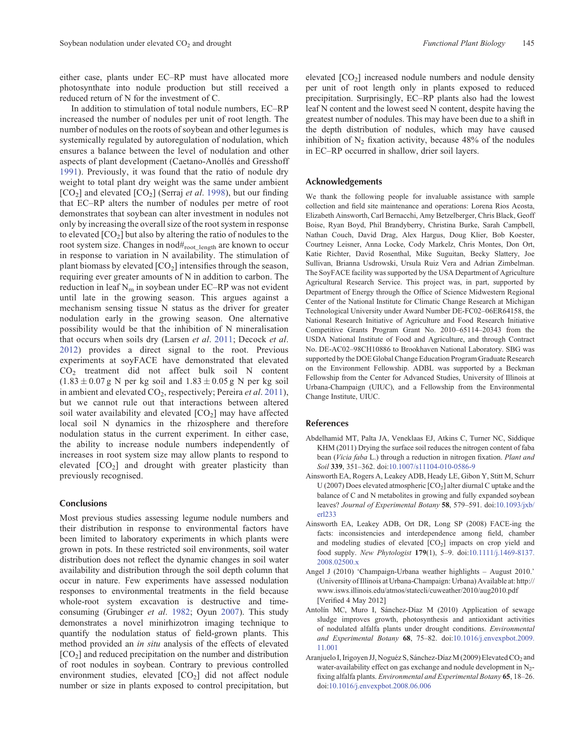<span id="page-8-0"></span>either case, plants under EC–RP must have allocated more photosynthate into nodule production but still received a reduced return of N for the investment of C.

In addition to stimulation of total nodule numbers, EC–RP increased the number of nodules per unit of root length. The number of nodules on the roots of soybean and other legumes is systemically regulated by autoregulation of nodulation, which ensures a balance between the level of nodulation and other aspects of plant development (Caetano-Anollés and Gresshoff [1991\)](#page-9-0). Previously, it was found that the ratio of nodule dry weight to total plant dry weight was the same under ambient [CO2] and elevated [CO2] (Serraj *et al*. [1998\)](#page-10-0), but our finding that EC–RP alters the number of nodules per metre of root demonstrates that soybean can alter investment in nodules not only by increasing the overall size of the root system in response to elevated  $[CO<sub>2</sub>]$  but also by altering the ratio of nodules to the root system size. Changes in  $nod\#_{root\ length}$  are known to occur in response to variation in N availability. The stimulation of plant biomass by elevated  $[CO<sub>2</sub>]$  intensifies through the season, requiring ever greater amounts of N in addition to carbon. The reduction in leaf  $N_m$  in soybean under EC–RP was not evident until late in the growing season. This argues against a mechanism sensing tissue N status as the driver for greater nodulation early in the growing season. One alternative possibility would be that the inhibition of N mineralisation that occurs when soils dry (Larsen *et al*. [2011](#page-9-0); Decock *et al*. [2012\)](#page-9-0) provides a direct signal to the root. Previous experiments at soyFACE have demonstrated that elevated CO2 treatment did not affect bulk soil N content  $(1.83 \pm 0.07 \text{ g N}$  per kg soil and  $1.83 \pm 0.05 \text{ g N}$  per kg soil in ambient and elevated CO<sub>2</sub>, respectively; Pereira *et al.* [2011\)](#page-9-0), but we cannot rule out that interactions between altered soil water availability and elevated  $[CO<sub>2</sub>]$  may have affected local soil N dynamics in the rhizosphere and therefore nodulation status in the current experiment. In either case, the ability to increase nodule numbers independently of increases in root system size may allow plants to respond to elevated [CO<sub>2</sub>] and drought with greater plasticity than previously recognised.

# **Conclusions**

Most previous studies assessing legume nodule numbers and their distribution in response to environmental factors have been limited to laboratory experiments in which plants were grown in pots. In these restricted soil environments, soil water distribution does not reflect the dynamic changes in soil water availability and distribution through the soil depth column that occur in nature. Few experiments have assessed nodulation responses to environmental treatments in the field because whole-root system excavation is destructive and timeconsuming (Grubinger *et al*. [1982;](#page-9-0) Oyun [2007](#page-9-0)). This study demonstrates a novel minirhizotron imaging technique to quantify the nodulation status of field-grown plants. This method provided an *in situ* analysis of the effects of elevated  $[CO<sub>2</sub>]$  and reduced precipitation on the number and distribution of root nodules in soybean. Contrary to previous controlled environment studies, elevated [CO<sub>2</sub>] did not affect nodule number or size in plants exposed to control precipitation, but

elevated  $[CO<sub>2</sub>]$  increased nodule numbers and nodule density per unit of root length only in plants exposed to reduced precipitation. Surprisingly, EC–RP plants also had the lowest leaf N content and the lowest seed N content, despite having the greatest number of nodules. This may have been due to a shift in the depth distribution of nodules, which may have caused inhibition of  $N<sub>2</sub>$  fixation activity, because 48% of the nodules in EC–RP occurred in shallow, drier soil layers.

## **Acknowledgements**

We thank the following people for invaluable assistance with sample collection and field site maintenance and operations: Lorena Rios Acosta, Elizabeth Ainsworth, Carl Bernacchi, Amy Betzelberger, Chris Black, Geoff Boise, Ryan Boyd, Phil Brandyberry, Christina Burke, Sarah Campbell, Nathan Couch, David Drag, Alex Hargus, Doug Klier, Bob Koester, Courtney Leisner, Anna Locke, Cody Markelz, Chris Montes, Don Ort, Katie Richter, David Rosenthal, Mike Suguitan, Becky Slattery, Joe Sullivan, Brianna Usdrowski, Ursula Ruiz Vera and Adrian Zimbelman. The SoyFACE facility was supported by the USA Department of Agriculture Agricultural Research Service. This project was, in part, supported by Department of Energy through the Office of Science Midwestern Regional Center of the National Institute for Climatic Change Research at Michigan Technological University under Award Number DE-FC02–06ER64158, the National Research Initiative of Agriculture and Food Research Initiative Competitive Grants Program Grant No. 2010–65114–20343 from the USDA National Institute of Food and Agriculture, and through Contract No. DE-AC02–98CH10886 to Brookhaven National Laboratory. SBG was supported by the DOE Global Change Education Program Graduate Research on the Environment Fellowship. ADBL was supported by a Beckman Fellowship from the Center for Advanced Studies, University of Illinois at Urbana-Champaign (UIUC), and a Fellowship from the Environmental Change Institute, UIUC.

#### **References**

- Abdelhamid MT, Palta JA, Veneklaas EJ, Atkins C, Turner NC, Siddique KHM (2011) Drying the surface soil reduces the nitrogen content of faba bean (*Vicia faba* L.) through a reduction in nitrogen fixation. *Plant and Soil* **339**, 351–362. doi[:10.1007/s11104-010-0586-9](dx.doi.org/10.1007/s11104-010-0586-9)
- Ainsworth EA, Rogers A, Leakey ADB, Heady LE, Gibon Y, Stitt M, Schurr U (2007) Does elevated atmospheric  $[CO<sub>2</sub>]$  alter diurnal C uptake and the balance of C and N metabolites in growing and fully expanded soybean leaves? *Journal of Experimental Botany* **58**, 579–591. doi[:10.1093/jxb/](dx.doi.org/10.1093/jxb/erl233) [erl233](dx.doi.org/10.1093/jxb/erl233)
- Ainsworth EA, Leakey ADB, Ort DR, Long SP (2008) FACE-ing the facts: inconsistencies and interdependence among field, chamber and modeling studies of elevated  $[CO<sub>2</sub>]$  impacts on crop yield and food supply. *New Phytologist* **179**(1), 5–9. doi[:10.1111/j.1469-8137.](dx.doi.org/10.1111/j.1469-8137.2008.02500.x) [2008.02500.x](dx.doi.org/10.1111/j.1469-8137.2008.02500.x)
- Angel J (2010) 'Champaign-Urbana weather highlights August 2010.' (University of Illinois at Urbana-Champaign: Urbana) Available at: [http://](http://www.isws.illinois.edu/atmos/statecli/cuweather/2010/aug2010.pdf) [www.isws.illinois.edu/atmos/statecli/cuweather/2010/aug2010.pdf](http://www.isws.illinois.edu/atmos/statecli/cuweather/2010/aug2010.pdf) [Verified 4 May 2012]
- Antolín MC, Muro I, Sánchez-Díaz M (2010) Application of sewage sludge improves growth, photosynthesis and antioxidant activities of nodulated alfalfa plants under drought conditions. *Environmental and Experimental Botany* **68**, 75–82. doi:[10.1016/j.envexpbot.2009.](dx.doi.org/10.1016/j.envexpbot.2009.11.001) [11.001](dx.doi.org/10.1016/j.envexpbot.2009.11.001)
- Aranjuelo I, Irigoyen JJ, Noguéz S, Sánchez-Díaz M (2009) Elevated CO<sub>2</sub> and water-availability effect on gas exchange and nodule development in  $N_2$ fixing alfalfa plants. *Environmental and Experimental Botany* **65**, 18–26. doi:[10.1016/j.envexpbot.2008.06.006](dx.doi.org/10.1016/j.envexpbot.2008.06.006)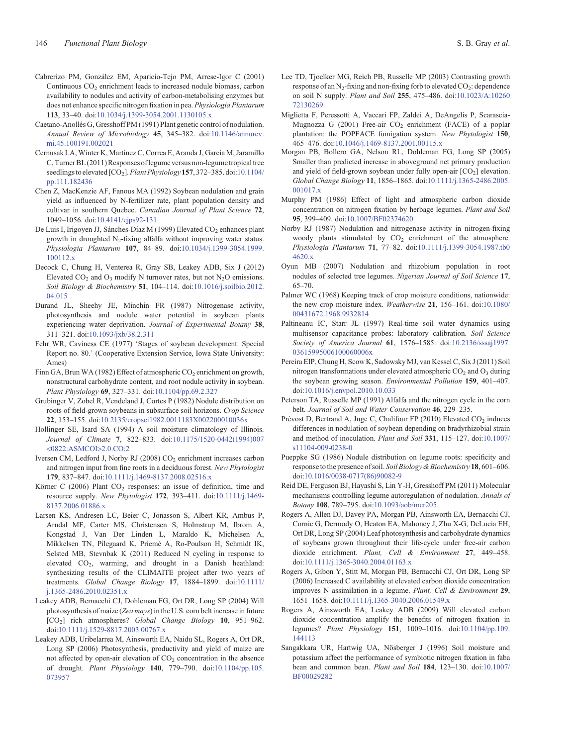- <span id="page-9-0"></span>Cabrerizo PM, González EM, Aparicio-Tejo PM, Arrese-Igor C (2001) Continuous CO<sub>2</sub> enrichment leads to increased nodule biomass, carbon availability to nodules and activity of carbon-metabolising enzymes but does not enhance specific nitrogen fixation in pea. *Physiologia Plantarum* **113**, 33–40. doi[:10.1034/j.1399-3054.2001.1130105.x](dx.doi.org/10.1034/j.1399-3054.2001.1130105.x)
- Caetano-Anollés G, Gresshoff PM (1991) Plant genetic control of nodulation. *Annual Review of Microbiology* **45**, 345–382. doi[:10.1146/annurev.](dx.doi.org/10.1146/annurev.mi.45.100191.002021) [mi.45.100191.002021](dx.doi.org/10.1146/annurev.mi.45.100191.002021)
- Cernusak LA, Winter K, Martínez C, Correa E, Aranda J, Garcia M, Jaramillo C, Turner BL (2011) Responses of legume versus non-legume tropical tree seedlingsto elevated [CO2].*Plant Physiology***157**, 372–385. doi:[10.1104/](dx.doi.org/10.1104/pp.111.182436) [pp.111.182436](dx.doi.org/10.1104/pp.111.182436)
- Chen Z, MacKenzie AF, Fanous MA (1992) Soybean nodulation and grain yield as influenced by N-fertilizer rate, plant population density and cultivar in southern Quebec. *Canadian Journal of Plant Science* **72**, 1049–1056. doi[:10.4141/cjps92-131](dx.doi.org/10.4141/cjps92-131)
- De Luis I, Irigoyen JJ, Sánches-Díaz M (1999) Elevated CO<sub>2</sub> enhances plant growth in droughted  $N_2$ -fixing alfalfa without improving water status. *Physiologia Plantarum* **107**, 84–89. doi:[10.1034/j.1399-3054.1999.](dx.doi.org/10.1034/j.1399-3054.1999.100112.x) [100112.x](dx.doi.org/10.1034/j.1399-3054.1999.100112.x)
- Decock C, Chung H, Venterea R, Gray SB, Leakey ADB, Six J (2012) Elevated  $CO_2$  and  $O_3$  modify N turnover rates, but not  $N_2O$  emissions. *Soil Biology & Biochemistry* **51**, 104–114. doi[:10.1016/j.soilbio.2012.](dx.doi.org/10.1016/j.soilbio.2012.04.015) [04.015](dx.doi.org/10.1016/j.soilbio.2012.04.015)
- Durand JL, Sheehy JE, Minchin FR (1987) Nitrogenase activity, photosynthesis and nodule water potential in soybean plants experiencing water deprivation. *Journal of Experimental Botany* **38**, 311–321. doi[:10.1093/jxb/38.2.311](dx.doi.org/10.1093/jxb/38.2.311)
- Fehr WR, Caviness CE (1977) 'Stages of soybean development. Special Report no. 80.' (Cooperative Extension Service, Iowa State University: Ames)
- Finn GA, Brun WA (1982) Effect of atmospheric CO<sub>2</sub> enrichment on growth, nonstructural carbohydrate content, and root nodule activity in soybean. *Plant Physiology* **69**, 327–331. doi:[10.1104/pp.69.2.327](dx.doi.org/10.1104/pp.69.2.327)
- Grubinger V, Zobel R, Vendeland J, Cortes P (1982) Nodule distribution on roots of field-grown soybeans in subsurface soil horizons. *Crop Science* **22**, 153–155. doi[:10.2135/cropsci1982.0011183X002200010036x](dx.doi.org/10.2135/cropsci1982.0011183X002200010036x)
- Hollinger SE, Isard SA (1994) A soil moisture climatology of Illinois. *Journal of Climate* **7**, 822–833. doi:[10.1175/1520-0442\(1994\)007](dx.doi.org/10.1175/1520-0442(1994)007<0822:ASMCOI>2.0.CO;2) <[0822:ASMCOI](dx.doi.org/10.1175/1520-0442(1994)007<0822:ASMCOI>2.0.CO;2)>[2.0.CO;2](dx.doi.org/10.1175/1520-0442(1994)007<0822:ASMCOI>2.0.CO;2)
- Iversen CM, Ledford J, Norby RJ (2008) CO<sub>2</sub> enrichment increases carbon and nitrogen input from fine roots in a deciduous forest. *New Phytologist* **179**, 837–847. doi[:10.1111/j.1469-8137.2008.02516.x](dx.doi.org/10.1111/j.1469-8137.2008.02516.x)
- Körner C (2006) Plant  $CO<sub>2</sub>$  responses: an issue of definition, time and resource supply. *New Phytologist* **172**, 393–411. doi[:10.1111/j.1469-](dx.doi.org/10.1111/j.1469-8137.2006.01886.x) [8137.2006.01886.x](dx.doi.org/10.1111/j.1469-8137.2006.01886.x)
- Larsen KS, Andresen LC, Beier C, Jonasson S, Albert KR, Ambus P, Arndal MF, Carter MS, Christensen S, Holmstrup M, Ibrom A, Kongstad J, Van Der Linden L, Maraldo K, Michelsen A, Mikkelsen TN, Pilegaard K, Priemé A, Ro-Poulson H, Schmidt IK, Selsted MB, Stevnbak K (2011) Reduced N cycling in response to elevated CO2, warming, and drought in a Danish heathland: synthesizing results of the CLIMAITE project after two years of treatments. *Global Change Biology* **17**, 1884–1899. doi:[10.1111/](dx.doi.org/10.1111/j.1365-2486.2010.02351.x) [j.1365-2486.2010.02351.x](dx.doi.org/10.1111/j.1365-2486.2010.02351.x)
- Leakey ADB, Bernacchi CJ, Dohleman FG, Ort DR, Long SP (2004) Will photosynthesis of maize (*Zea mays*) in the U.S. corn belt increase in future [CO2] rich atmospheres? *Global Change Biology* **10**, 951–962. doi:[10.1111/j.1529-8817.2003.00767.x](dx.doi.org/10.1111/j.1529-8817.2003.00767.x)
- Leakey ADB, Uribelarrea M, Ainsworth EA, Naidu SL, Rogers A, Ort DR, Long SP (2006) Photosynthesis, productivity and yield of maize are not affected by open-air elevation of  $CO<sub>2</sub>$  concentration in the absence of drought. *Plant Physiology* **140**, 779–790. doi[:10.1104/pp.105.](dx.doi.org/10.1104/pp.105.073957) [073957](dx.doi.org/10.1104/pp.105.073957)
- Lee TD, Tjoelker MG, Reich PB, Russelle MP (2003) Contrasting growth response of an  $N_2$ -fixing and non-fixing forb to elevated  $CO_2$ : dependence on soil N supply. *Plant and Soil* **255**, 475–486. doi[:10.1023/A:10260](dx.doi.org/10.1023/A:1026072130269) [72130269](dx.doi.org/10.1023/A:1026072130269)
- Miglietta F, Peressotti A, Vaccari FP, Zaldei A, DeAngelis P, Scarascia-Mugnozza G (2001) Free-air  $CO<sub>2</sub>$  enrichment (FACE) of a poplar plantation: the POPFACE fumigation system. *New Phytologist* **150**, 465–476. doi[:10.1046/j.1469-8137.2001.00115.x](dx.doi.org/10.1046/j.1469-8137.2001.00115.x)
- Morgan PB, Bollero GA, Nelson RL, Dohleman FG, Long SP (2005) Smaller than predicted increase in aboveground net primary production and yield of field-grown soybean under fully open-air  $[CO<sub>2</sub>]$  elevation. *Global Change Biology* **11**, 1856–1865. doi:[10.1111/j.1365-2486.2005.](dx.doi.org/10.1111/j.1365-2486.2005.001017.x) [001017.x](dx.doi.org/10.1111/j.1365-2486.2005.001017.x)
- Murphy PM (1986) Effect of light and atmospheric carbon dioxide concentration on nitrogen fixation by herbage legumes. *Plant and Soil* **95**, 399–409. doi[:10.1007/BF02374620](dx.doi.org/10.1007/BF02374620)
- Norby RJ (1987) Nodulation and nitrogenase activity in nitrogen-fixing woody plants stimulated by  $CO<sub>2</sub>$  enrichment of the atmosphere. *Physiologia Plantarum* **71**, 77–82. doi[:10.1111/j.1399-3054.1987.tb0](dx.doi.org/10.1111/j.1399-3054.1987.tb04620.x)  $4620 \times$
- Oyun MB (2007) Nodulation and rhizobium population in root nodules of selected tree legumes. *Nigerian Journal of Soil Science* **17**, 65–70.
- Palmer WC (1968) Keeping track of crop moisture conditions, nationwide: the new crop moisture index. *Weatherwise* **21**, 156–161. doi:[10.1080/](dx.doi.org/10.1080/00431672.1968.9932814) [00431672.1968.9932814](dx.doi.org/10.1080/00431672.1968.9932814)
- Paltineanu IC, Starr JL (1997) Real-time soil water dynamics using multisensor capacitance probes: laboratory calibration. *Soil Science Society of America Journal* **61**, 1576–1585. doi[:10.2136/sssaj1997.](dx.doi.org/10.2136/sssaj1997.03615995006100060006x) [03615995006100060006x](dx.doi.org/10.2136/sssaj1997.03615995006100060006x)
- Pereira EIP, Chung H, Scow K, SadowskyMJ, van Kessel C, Six J (2011) Soil nitrogen transformations under elevated atmospheric  $CO<sub>2</sub>$  and  $O<sub>3</sub>$  during the soybean growing season. *Environmental Pollution* **159**, 401–407. doi[:10.1016/j.envpol.2010.10.033](dx.doi.org/10.1016/j.envpol.2010.10.033)
- Peterson TA, Russelle MP (1991) Alfalfa and the nitrogen cycle in the corn belt. *Journal of Soil and Water Conservation* **46**, 229–235.
- Prévost D, Bertrand A, Juge C, Chalifour FP (2010) Elevated CO<sub>2</sub> induces differences in nodulation of soybean depending on bradyrhizobial strain and method of inoculation. *Plant and Soil* **331**, 115–127. doi:[10.1007/](dx.doi.org/10.1007/s11104-009-0238-0) [s11104-009-0238-0](dx.doi.org/10.1007/s11104-009-0238-0)
- Pueppke SG (1986) Nodule distribution on legume roots: specificity and responseto the presence of soil. *Soil Biology & Biochemistry* **18**, 601–606. doi[:10.1016/0038-0717\(86\)90082-9](dx.doi.org/10.1016/0038-0717(86)90082-9)
- Reid DE, Ferguson BJ, Hayashi S, Lin Y-H, Gresshoff PM (2011) Molecular mechanisms controlling legume autoregulation of nodulation. *Annals of Botany* **108**, 789–795. doi:[10.1093/aob/mcr205](dx.doi.org/10.1093/aob/mcr205)
- Rogers A, Allen DJ, Davey PA, Morgan PB, Ainsworth EA, Bernacchi CJ, Cornic G, Dermody O, Heaton EA, Mahoney J, Zhu X-G, DeLucia EH, Ort DR, Long SP (2004) Leaf photosynthesis and carbohydrate dynamics of soybeans grown throughout their life-cycle under free-air carbon dioxide enrichment. *Plant, Cell & Environment* **27**, 449–458. doi[:10.1111/j.1365-3040.2004.01163.x](dx.doi.org/10.1111/j.1365-3040.2004.01163.x)
- Rogers A, Gibon Y, Stitt M, Morgan PB, Bernacchi CJ, Ort DR, Long SP (2006) Increased C availability at elevated carbon dioxide concentration improves N assimilation in a legume. *Plant, Cell & Environment* **29**, 1651–1658. doi:[10.1111/j.1365-3040.2006.01549.x](dx.doi.org/10.1111/j.1365-3040.2006.01549.x)
- Rogers A, Ainsworth EA, Leakey ADB (2009) Will elevated carbon dioxide concentration amplify the benefits of nitrogen fixation in legumes? *Plant Physiology* **151**, 1009–1016. doi[:10.1104/pp.109.](dx.doi.org/10.1104/pp.109.144113) [144113](dx.doi.org/10.1104/pp.109.144113)
- Sangakkara UR, Hartwig UA, Nösberger J (1996) Soil moisture and potassium affect the performance of symbiotic nitrogen fixation in faba bean and common bean. *Plant and Soil* **184**, 123–130. doi:[10.1007/](dx.doi.org/10.1007/BF00029282) [BF00029282](dx.doi.org/10.1007/BF00029282)